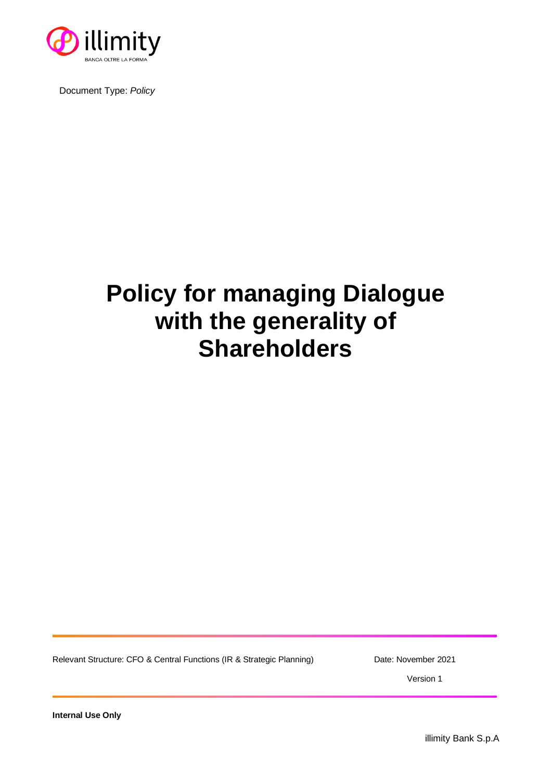

Document Type: *Policy*

# **Policy for managing Dialogue with the generality of Shareholders**

Relevant Structure: CFO & Central Functions (IR & Strategic Planning) Date: November 2021

Version 1

**Internal Use Only**

illimity Bank S.p.A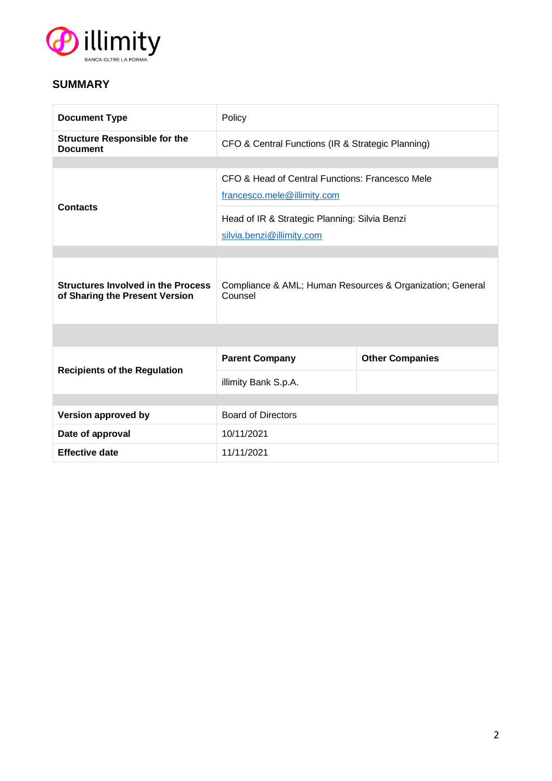

# **SUMMARY**

| <b>Document Type</b>                                                        | Policy                                                                         |                        |  |  |  |
|-----------------------------------------------------------------------------|--------------------------------------------------------------------------------|------------------------|--|--|--|
| <b>Structure Responsible for the</b><br><b>Document</b>                     | CFO & Central Functions (IR & Strategic Planning)                              |                        |  |  |  |
|                                                                             |                                                                                |                        |  |  |  |
| <b>Contacts</b>                                                             | CFO & Head of Central Functions: Francesco Mele<br>francesco.mele@illimity.com |                        |  |  |  |
|                                                                             | Head of IR & Strategic Planning: Silvia Benzi<br>silvia.benzi@illimity.com     |                        |  |  |  |
|                                                                             |                                                                                |                        |  |  |  |
| <b>Structures Involved in the Process</b><br>of Sharing the Present Version | Compliance & AML; Human Resources & Organization; General<br>Counsel           |                        |  |  |  |
|                                                                             |                                                                                |                        |  |  |  |
| <b>Recipients of the Regulation</b>                                         | <b>Parent Company</b>                                                          | <b>Other Companies</b> |  |  |  |
|                                                                             | illimity Bank S.p.A.                                                           |                        |  |  |  |
|                                                                             |                                                                                |                        |  |  |  |
| Version approved by                                                         | <b>Board of Directors</b>                                                      |                        |  |  |  |
| Date of approval                                                            | 10/11/2021                                                                     |                        |  |  |  |
| <b>Effective date</b>                                                       | 11/11/2021                                                                     |                        |  |  |  |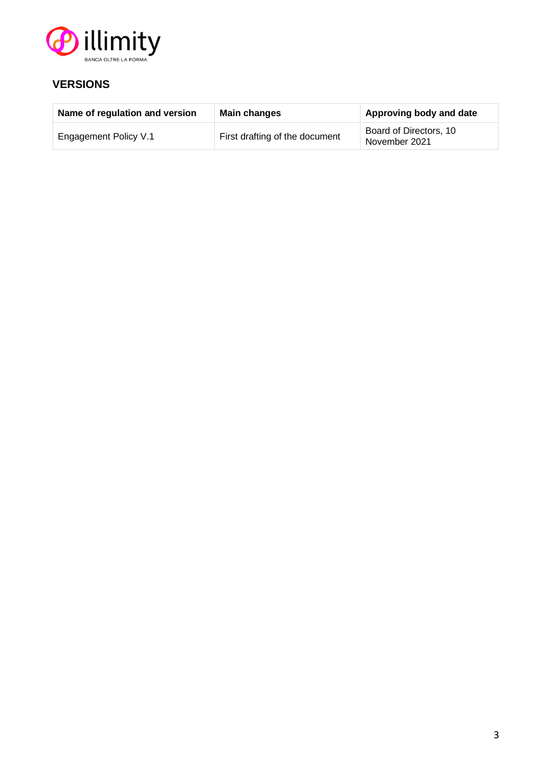

# **VERSIONS**

| Name of regulation and version | Main changes                   | Approving body and date                 |
|--------------------------------|--------------------------------|-----------------------------------------|
| Engagement Policy V.1          | First drafting of the document | Board of Directors, 10<br>November 2021 |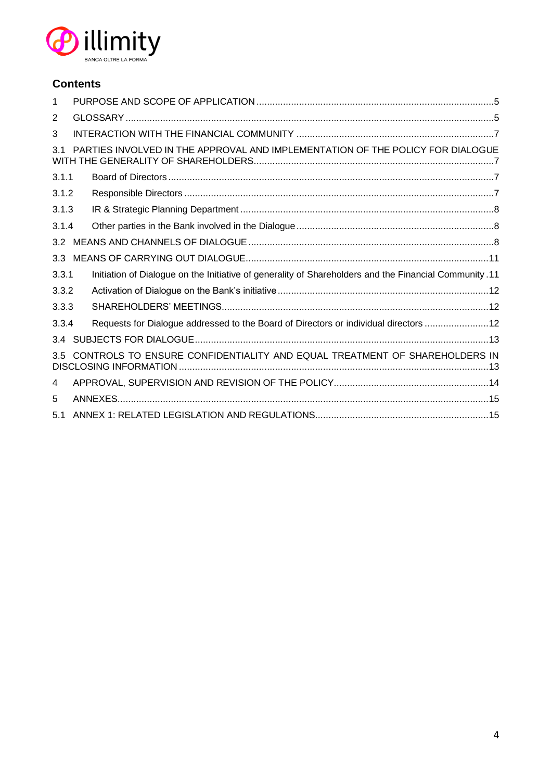

# **Contents**

| 1                |                                                                                                        |
|------------------|--------------------------------------------------------------------------------------------------------|
| 2                |                                                                                                        |
| 3                |                                                                                                        |
| 3 1              | PARTIES INVOLVED IN THE APPROVAL AND IMPLEMENTATION OF THE POLICY FOR DIALOGUE                         |
| 3.1.1            |                                                                                                        |
| 3.1.2            |                                                                                                        |
| 3.1.3            |                                                                                                        |
| 3.1.4            |                                                                                                        |
| 3.2              |                                                                                                        |
| 3.3 <sub>1</sub> |                                                                                                        |
| 3.3.1            | 11. Initiation of Dialogue on the Initiative of generality of Shareholders and the Financial Community |
| 3.3.2            |                                                                                                        |
| 3.3.3            |                                                                                                        |
| 3.3.4            | Requests for Dialogue addressed to the Board of Directors or individual directors  12                  |
|                  |                                                                                                        |
|                  | 3.5 CONTROLS TO ENSURE CONFIDENTIALITY AND EQUAL TREATMENT OF SHAREHOLDERS IN                          |
| 4                |                                                                                                        |
| 5                |                                                                                                        |
| 5.1              |                                                                                                        |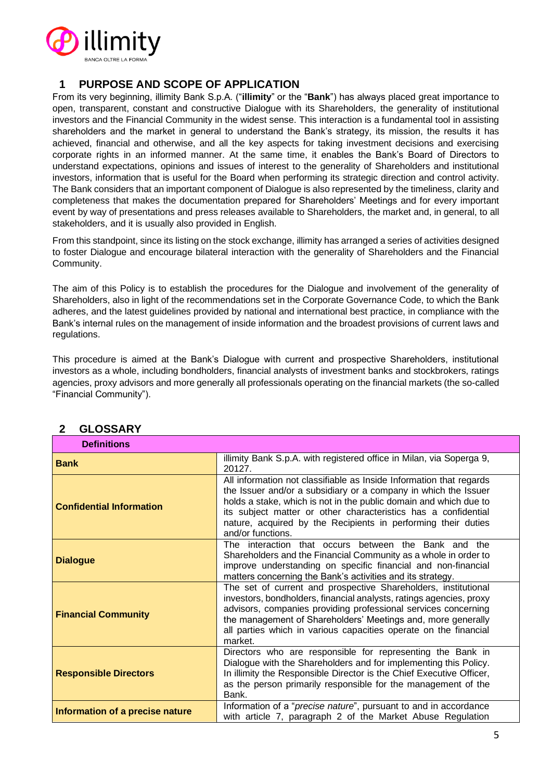

## **1 PURPOSE AND SCOPE OF APPLICATION**

From its very beginning, illimity Bank S.p.A. ("**illimity**" or the "**Bank**") has always placed great importance to open, transparent, constant and constructive Dialogue with its Shareholders, the generality of institutional investors and the Financial Community in the widest sense. This interaction is a fundamental tool in assisting shareholders and the market in general to understand the Bank's strategy, its mission, the results it has achieved, financial and otherwise, and all the key aspects for taking investment decisions and exercising corporate rights in an informed manner. At the same time, it enables the Bank's Board of Directors to understand expectations, opinions and issues of interest to the generality of Shareholders and institutional investors, information that is useful for the Board when performing its strategic direction and control activity. The Bank considers that an important component of Dialogue is also represented by the timeliness, clarity and completeness that makes the documentation prepared for Shareholders' Meetings and for every important event by way of presentations and press releases available to Shareholders, the market and, in general, to all stakeholders, and it is usually also provided in English.

From this standpoint, since its listing on the stock exchange, illimity has arranged a series of activities designed to foster Dialogue and encourage bilateral interaction with the generality of Shareholders and the Financial Community.

The aim of this Policy is to establish the procedures for the Dialogue and involvement of the generality of Shareholders, also in light of the recommendations set in the Corporate Governance Code, to which the Bank adheres, and the latest guidelines provided by national and international best practice, in compliance with the Bank's internal rules on the management of inside information and the broadest provisions of current laws and regulations.

This procedure is aimed at the Bank's Dialogue with current and prospective Shareholders, institutional investors as a whole, including bondholders, financial analysts of investment banks and stockbrokers, ratings agencies, proxy advisors and more generally all professionals operating on the financial markets (the so-called "Financial Community").

| <b>Definitions</b>              |                                                                                                                                                                                                                                                                                                                                                                     |  |
|---------------------------------|---------------------------------------------------------------------------------------------------------------------------------------------------------------------------------------------------------------------------------------------------------------------------------------------------------------------------------------------------------------------|--|
| <b>Bank</b>                     | illimity Bank S.p.A. with registered office in Milan, via Soperga 9,<br>20127.                                                                                                                                                                                                                                                                                      |  |
| <b>Confidential Information</b> | All information not classifiable as Inside Information that regards<br>the Issuer and/or a subsidiary or a company in which the Issuer<br>holds a stake, which is not in the public domain and which due to<br>its subject matter or other characteristics has a confidential<br>nature, acquired by the Recipients in performing their duties<br>and/or functions. |  |
| <b>Dialogue</b>                 | The interaction that occurs between the Bank and the<br>Shareholders and the Financial Community as a whole in order to<br>improve understanding on specific financial and non-financial<br>matters concerning the Bank's activities and its strategy.                                                                                                              |  |
| <b>Financial Community</b>      | The set of current and prospective Shareholders, institutional<br>investors, bondholders, financial analysts, ratings agencies, proxy<br>advisors, companies providing professional services concerning<br>the management of Shareholders' Meetings and, more generally<br>all parties which in various capacities operate on the financial<br>market.              |  |
| <b>Responsible Directors</b>    | Directors who are responsible for representing the Bank in<br>Dialogue with the Shareholders and for implementing this Policy.<br>In illimity the Responsible Director is the Chief Executive Officer,<br>as the person primarily responsible for the management of the<br>Bank.                                                                                    |  |
| Information of a precise nature | Information of a "precise nature", pursuant to and in accordance<br>with article 7, paragraph 2 of the Market Abuse Regulation                                                                                                                                                                                                                                      |  |

## **2 GLOSSARY**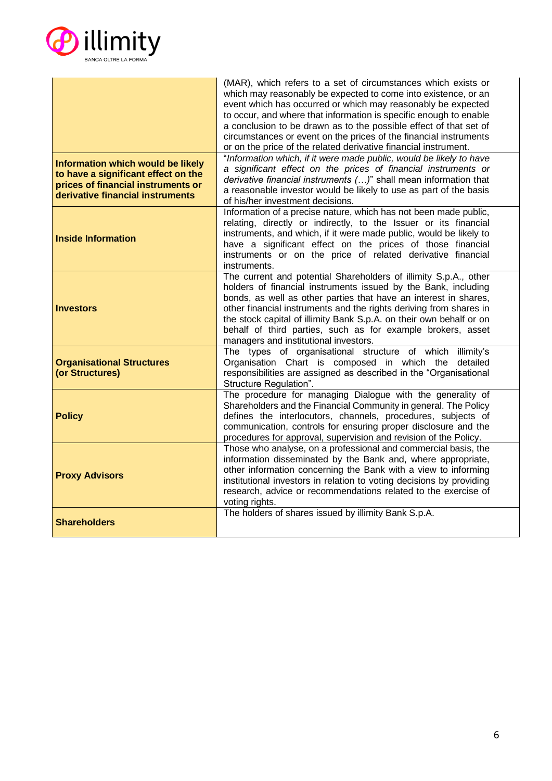

|                                                                                                                                                    | (MAR), which refers to a set of circumstances which exists or<br>which may reasonably be expected to come into existence, or an<br>event which has occurred or which may reasonably be expected<br>to occur, and where that information is specific enough to enable<br>a conclusion to be drawn as to the possible effect of that set of<br>circumstances or event on the prices of the financial instruments<br>or on the price of the related derivative financial instrument. |  |
|----------------------------------------------------------------------------------------------------------------------------------------------------|-----------------------------------------------------------------------------------------------------------------------------------------------------------------------------------------------------------------------------------------------------------------------------------------------------------------------------------------------------------------------------------------------------------------------------------------------------------------------------------|--|
| Information which would be likely<br>to have a significant effect on the<br>prices of financial instruments or<br>derivative financial instruments | "Information which, if it were made public, would be likely to have<br>a significant effect on the prices of financial instruments or<br>derivative financial instruments ()" shall mean information that<br>a reasonable investor would be likely to use as part of the basis<br>of his/her investment decisions.                                                                                                                                                                |  |
| <b>Inside Information</b>                                                                                                                          | Information of a precise nature, which has not been made public,<br>relating, directly or indirectly, to the Issuer or its financial<br>instruments, and which, if it were made public, would be likely to<br>have a significant effect on the prices of those financial<br>instruments or on the price of related derivative financial<br>instruments.                                                                                                                           |  |
| <b>Investors</b>                                                                                                                                   | The current and potential Shareholders of illimity S.p.A., other<br>holders of financial instruments issued by the Bank, including<br>bonds, as well as other parties that have an interest in shares,<br>other financial instruments and the rights deriving from shares in<br>the stock capital of illimity Bank S.p.A. on their own behalf or on<br>behalf of third parties, such as for example brokers, asset<br>managers and institutional investors.                       |  |
| <b>Organisational Structures</b><br>(or Structures)                                                                                                | The types of organisational structure of which illimity's<br>Organisation Chart is composed in which the detailed<br>responsibilities are assigned as described in the "Organisational<br>Structure Regulation".                                                                                                                                                                                                                                                                  |  |
| <b>Policy</b>                                                                                                                                      | The procedure for managing Dialogue with the generality of<br>Shareholders and the Financial Community in general. The Policy<br>defines the interlocutors, channels, procedures, subjects of<br>communication, controls for ensuring proper disclosure and the<br>procedures for approval, supervision and revision of the Policy.                                                                                                                                               |  |
| <b>Proxy Advisors</b>                                                                                                                              | Those who analyse, on a professional and commercial basis, the<br>information disseminated by the Bank and, where appropriate,<br>other information concerning the Bank with a view to informing<br>institutional investors in relation to voting decisions by providing<br>research, advice or recommendations related to the exercise of<br>voting rights.                                                                                                                      |  |
| <b>Shareholders</b>                                                                                                                                | The holders of shares issued by illimity Bank S.p.A.                                                                                                                                                                                                                                                                                                                                                                                                                              |  |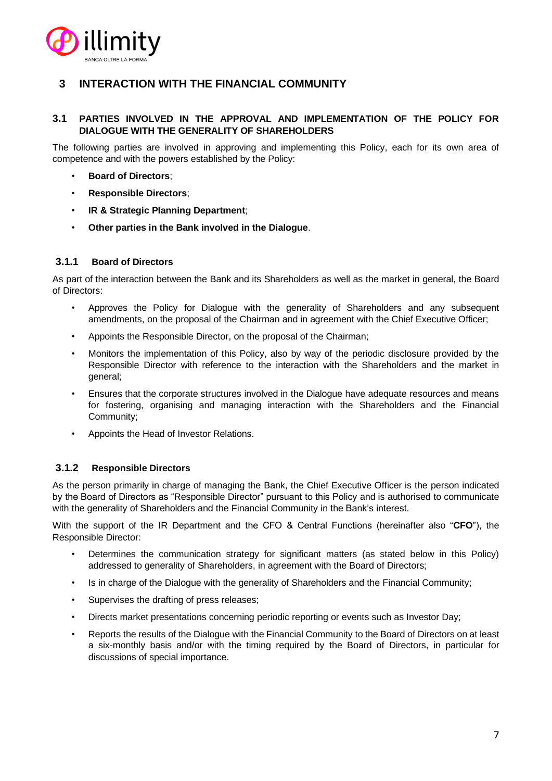

## **3 INTERACTION WITH THE FINANCIAL COMMUNITY**

#### **3.1 PARTIES INVOLVED IN THE APPROVAL AND IMPLEMENTATION OF THE POLICY FOR DIALOGUE WITH THE GENERALITY OF SHAREHOLDERS**

The following parties are involved in approving and implementing this Policy, each for its own area of competence and with the powers established by the Policy:

- **Board of Directors**;
- **Responsible Directors**;
- **IR & Strategic Planning Department**;
- **Other parties in the Bank involved in the Dialogue**.

## **3.1.1 Board of Directors**

As part of the interaction between the Bank and its Shareholders as well as the market in general, the Board of Directors:

- Approves the Policy for Dialogue with the generality of Shareholders and any subsequent amendments, on the proposal of the Chairman and in agreement with the Chief Executive Officer;
- Appoints the Responsible Director, on the proposal of the Chairman;
- Monitors the implementation of this Policy, also by way of the periodic disclosure provided by the Responsible Director with reference to the interaction with the Shareholders and the market in general;
- Ensures that the corporate structures involved in the Dialogue have adequate resources and means for fostering, organising and managing interaction with the Shareholders and the Financial Community;
- Appoints the Head of Investor Relations.

#### **3.1.2 Responsible Directors**

As the person primarily in charge of managing the Bank, the Chief Executive Officer is the person indicated by the Board of Directors as "Responsible Director" pursuant to this Policy and is authorised to communicate with the generality of Shareholders and the Financial Community in the Bank's interest.

With the support of the IR Department and the CFO & Central Functions (hereinafter also "**CFO**"), the Responsible Director:

- Determines the communication strategy for significant matters (as stated below in this Policy) addressed to generality of Shareholders, in agreement with the Board of Directors;
- Is in charge of the Dialogue with the generality of Shareholders and the Financial Community;
- Supervises the drafting of press releases;
- Directs market presentations concerning periodic reporting or events such as Investor Day;
- Reports the results of the Dialogue with the Financial Community to the Board of Directors on at least a six-monthly basis and/or with the timing required by the Board of Directors, in particular for discussions of special importance.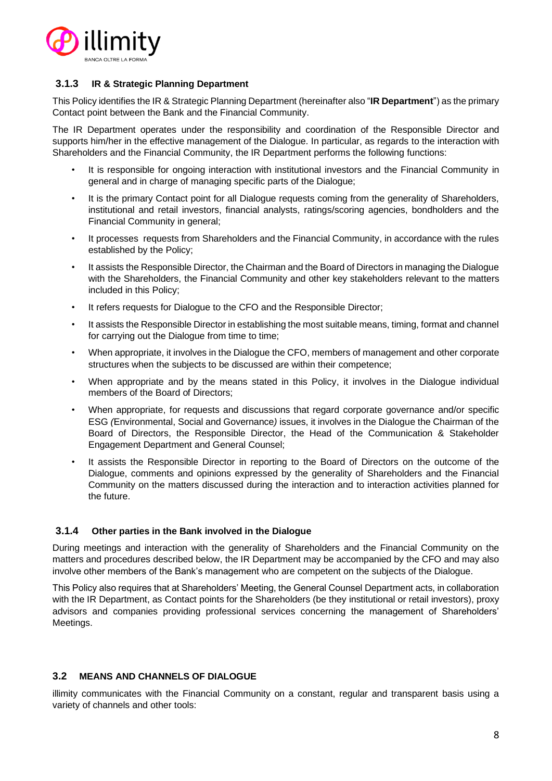

#### **3.1.3 IR & Strategic Planning Department**

This Policy identifies the IR & Strategic Planning Department (hereinafter also "**IR Department**") as the primary Contact point between the Bank and the Financial Community.

The IR Department operates under the responsibility and coordination of the Responsible Director and supports him/her in the effective management of the Dialogue. In particular, as regards to the interaction with Shareholders and the Financial Community, the IR Department performs the following functions:

- It is responsible for ongoing interaction with institutional investors and the Financial Community in general and in charge of managing specific parts of the Dialogue;
- It is the primary Contact point for all Dialogue requests coming from the generality of Shareholders, institutional and retail investors, financial analysts, ratings/scoring agencies, bondholders and the Financial Community in general;
- It processes requests from Shareholders and the Financial Community, in accordance with the rules established by the Policy;
- It assists the Responsible Director, the Chairman and the Board of Directors in managing the Dialogue with the Shareholders, the Financial Community and other key stakeholders relevant to the matters included in this Policy;
- It refers requests for Dialogue to the CFO and the Responsible Director;
- It assists the Responsible Director in establishing the most suitable means, timing, format and channel for carrying out the Dialogue from time to time;
- When appropriate, it involves in the Dialogue the CFO, members of management and other corporate structures when the subjects to be discussed are within their competence;
- When appropriate and by the means stated in this Policy, it involves in the Dialogue individual members of the Board of Directors;
- When appropriate, for requests and discussions that regard corporate governance and/or specific ESG *(*Environmental, Social and Governance*)* issues, it involves in the Dialogue the Chairman of the Board of Directors, the Responsible Director, the Head of the Communication & Stakeholder Engagement Department and General Counsel;
- It assists the Responsible Director in reporting to the Board of Directors on the outcome of the Dialogue, comments and opinions expressed by the generality of Shareholders and the Financial Community on the matters discussed during the interaction and to interaction activities planned for the future.

#### **3.1.4 Other parties in the Bank involved in the Dialogue**

During meetings and interaction with the generality of Shareholders and the Financial Community on the matters and procedures described below, the IR Department may be accompanied by the CFO and may also involve other members of the Bank's management who are competent on the subjects of the Dialogue.

This Policy also requires that at Shareholders' Meeting, the General Counsel Department acts, in collaboration with the IR Department, as Contact points for the Shareholders (be they institutional or retail investors), proxy advisors and companies providing professional services concerning the management of Shareholders' Meetings.

#### **3.2 MEANS AND CHANNELS OF DIALOGUE**

illimity communicates with the Financial Community on a constant, regular and transparent basis using a variety of channels and other tools: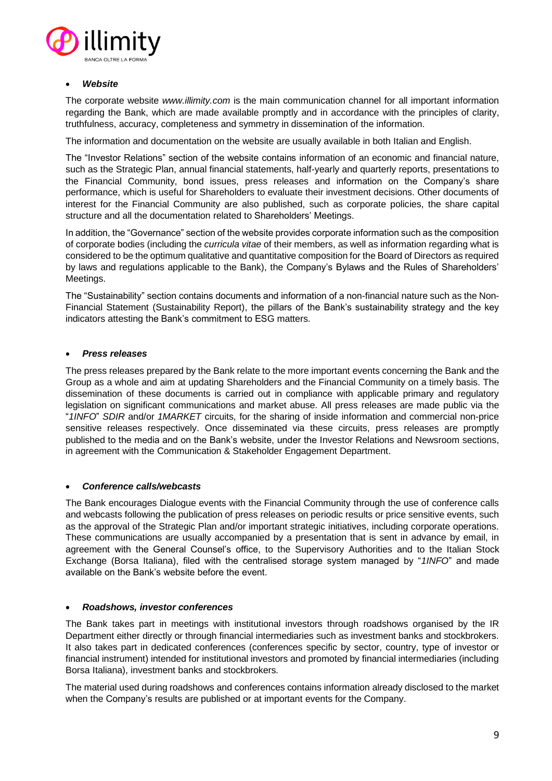

#### • *Website*

The corporate website *[www.illimity.com](http://www.illimity.com/)* is the main communication channel for all important information regarding the Bank, which are made available promptly and in accordance with the principles of clarity, truthfulness, accuracy, completeness and symmetry in dissemination of the information.

The information and documentation on the website are usually available in both Italian and English.

The "Investor Relations" section of the website contains information of an economic and financial nature, such as the Strategic Plan, annual financial statements, half-yearly and quarterly reports, presentations to the Financial Community, bond issues, press releases and information on the Company's share performance, which is useful for Shareholders to evaluate their investment decisions. Other documents of interest for the Financial Community are also published, such as corporate policies, the share capital structure and all the documentation related to Shareholders' Meetings.

In addition, the "Governance" section of the website provides corporate information such as the composition of corporate bodies (including the *curricula vitae* of their members, as well as information regarding what is considered to be the optimum qualitative and quantitative composition for the Board of Directors as required by laws and regulations applicable to the Bank), the Company's Bylaws and the Rules of Shareholders' Meetings.

The "Sustainability" section contains documents and information of a non-financial nature such as the Non-Financial Statement (Sustainability Report), the pillars of the Bank's sustainability strategy and the key indicators attesting the Bank's commitment to ESG matters.

#### • *Press releases*

The press releases prepared by the Bank relate to the more important events concerning the Bank and the Group as a whole and aim at updating Shareholders and the Financial Community on a timely basis. The dissemination of these documents is carried out in compliance with applicable primary and regulatory legislation on significant communications and market abuse. All press releases are made public via the "*1INFO*" *SDIR* and/or *1MARKET* circuits, for the sharing of inside information and commercial non-price sensitive releases respectively. Once disseminated via these circuits, press releases are promptly published to the media and on the Bank's website, under the Investor Relations and Newsroom sections, in agreement with the Communication & Stakeholder Engagement Department.

#### • *Conference calls/webcasts*

The Bank encourages Dialogue events with the Financial Community through the use of conference calls and webcasts following the publication of press releases on periodic results or price sensitive events, such as the approval of the Strategic Plan and/or important strategic initiatives, including corporate operations. These communications are usually accompanied by a presentation that is sent in advance by email, in agreement with the General Counsel's office, to the Supervisory Authorities and to the Italian Stock Exchange (Borsa Italiana), filed with the centralised storage system managed by "*1INFO*" and made available on the Bank's website before the event.

#### • *Roadshows, investor conferences*

The Bank takes part in meetings with institutional investors through roadshows organised by the IR Department either directly or through financial intermediaries such as investment banks and stockbrokers. It also takes part in dedicated conferences (conferences specific by sector, country, type of investor or financial instrument) intended for institutional investors and promoted by financial intermediaries (including Borsa Italiana), investment banks and stockbrokers.

The material used during roadshows and conferences contains information already disclosed to the market when the Company's results are published or at important events for the Company.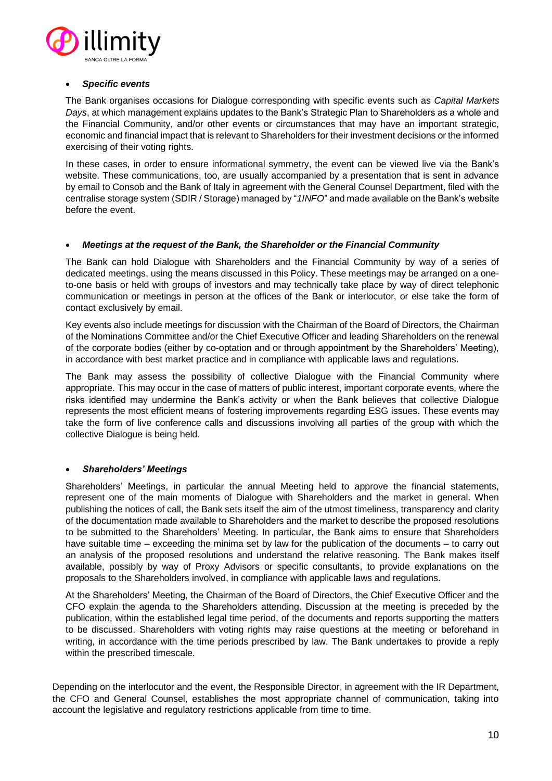

#### • *Specific events*

The Bank organises occasions for Dialogue corresponding with specific events such as *Capital Markets Days*, at which management explains updates to the Bank's Strategic Plan to Shareholders as a whole and the Financial Community, and/or other events or circumstances that may have an important strategic, economic and financial impact that is relevant to Shareholders for their investment decisions or the informed exercising of their voting rights.

In these cases, in order to ensure informational symmetry, the event can be viewed live via the Bank's website. These communications, too, are usually accompanied by a presentation that is sent in advance by email to Consob and the Bank of Italy in agreement with the General Counsel Department, filed with the centralise storage system (SDIR / Storage) managed by "*1INFO*" and made available on the Bank's website before the event.

#### • *Meetings at the request of the Bank, the Shareholder or the Financial Community*

The Bank can hold Dialogue with Shareholders and the Financial Community by way of a series of dedicated meetings, using the means discussed in this Policy. These meetings may be arranged on a oneto-one basis or held with groups of investors and may technically take place by way of direct telephonic communication or meetings in person at the offices of the Bank or interlocutor, or else take the form of contact exclusively by email.

Key events also include meetings for discussion with the Chairman of the Board of Directors, the Chairman of the Nominations Committee and/or the Chief Executive Officer and leading Shareholders on the renewal of the corporate bodies (either by co-optation and or through appointment by the Shareholders' Meeting), in accordance with best market practice and in compliance with applicable laws and regulations.

The Bank may assess the possibility of collective Dialogue with the Financial Community where appropriate. This may occur in the case of matters of public interest, important corporate events, where the risks identified may undermine the Bank's activity or when the Bank believes that collective Dialogue represents the most efficient means of fostering improvements regarding ESG issues. These events may take the form of live conference calls and discussions involving all parties of the group with which the collective Dialogue is being held.

#### • *Shareholders' Meetings*

Shareholders' Meetings, in particular the annual Meeting held to approve the financial statements, represent one of the main moments of Dialogue with Shareholders and the market in general. When publishing the notices of call, the Bank sets itself the aim of the utmost timeliness, transparency and clarity of the documentation made available to Shareholders and the market to describe the proposed resolutions to be submitted to the Shareholders' Meeting. In particular, the Bank aims to ensure that Shareholders have suitable time – exceeding the minima set by law for the publication of the documents – to carry out an analysis of the proposed resolutions and understand the relative reasoning. The Bank makes itself available, possibly by way of Proxy Advisors or specific consultants, to provide explanations on the proposals to the Shareholders involved, in compliance with applicable laws and regulations.

At the Shareholders' Meeting, the Chairman of the Board of Directors, the Chief Executive Officer and the CFO explain the agenda to the Shareholders attending. Discussion at the meeting is preceded by the publication, within the established legal time period, of the documents and reports supporting the matters to be discussed. Shareholders with voting rights may raise questions at the meeting or beforehand in writing, in accordance with the time periods prescribed by law. The Bank undertakes to provide a reply within the prescribed timescale.

Depending on the interlocutor and the event, the Responsible Director, in agreement with the IR Department, the CFO and General Counsel, establishes the most appropriate channel of communication, taking into account the legislative and regulatory restrictions applicable from time to time.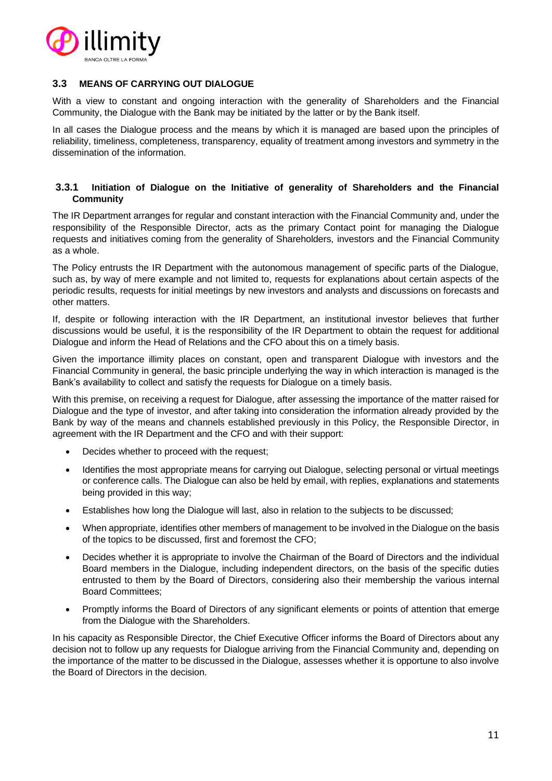

#### **3.3 MEANS OF CARRYING OUT DIALOGUE**

With a view to constant and ongoing interaction with the generality of Shareholders and the Financial Community, the Dialogue with the Bank may be initiated by the latter or by the Bank itself.

In all cases the Dialogue process and the means by which it is managed are based upon the principles of reliability, timeliness, completeness, transparency, equality of treatment among investors and symmetry in the dissemination of the information.

#### **3.3.1 Initiation of Dialogue on the Initiative of generality of Shareholders and the Financial Community**

The IR Department arranges for regular and constant interaction with the Financial Community and, under the responsibility of the Responsible Director, acts as the primary Contact point for managing the Dialogue requests and initiatives coming from the generality of Shareholders, investors and the Financial Community as a whole.

The Policy entrusts the IR Department with the autonomous management of specific parts of the Dialogue, such as, by way of mere example and not limited to, requests for explanations about certain aspects of the periodic results, requests for initial meetings by new investors and analysts and discussions on forecasts and other matters.

If, despite or following interaction with the IR Department, an institutional investor believes that further discussions would be useful, it is the responsibility of the IR Department to obtain the request for additional Dialogue and inform the Head of Relations and the CFO about this on a timely basis.

Given the importance illimity places on constant, open and transparent Dialogue with investors and the Financial Community in general, the basic principle underlying the way in which interaction is managed is the Bank's availability to collect and satisfy the requests for Dialogue on a timely basis.

With this premise, on receiving a request for Dialogue, after assessing the importance of the matter raised for Dialogue and the type of investor, and after taking into consideration the information already provided by the Bank by way of the means and channels established previously in this Policy, the Responsible Director, in agreement with the IR Department and the CFO and with their support:

- Decides whether to proceed with the request;
- Identifies the most appropriate means for carrying out Dialogue, selecting personal or virtual meetings or conference calls. The Dialogue can also be held by email, with replies, explanations and statements being provided in this way;
- Establishes how long the Dialogue will last, also in relation to the subjects to be discussed;
- When appropriate, identifies other members of management to be involved in the Dialogue on the basis of the topics to be discussed, first and foremost the CFO;
- Decides whether it is appropriate to involve the Chairman of the Board of Directors and the individual Board members in the Dialogue, including independent directors, on the basis of the specific duties entrusted to them by the Board of Directors, considering also their membership the various internal Board Committees;
- Promptly informs the Board of Directors of any significant elements or points of attention that emerge from the Dialogue with the Shareholders.

In his capacity as Responsible Director, the Chief Executive Officer informs the Board of Directors about any decision not to follow up any requests for Dialogue arriving from the Financial Community and, depending on the importance of the matter to be discussed in the Dialogue, assesses whether it is opportune to also involve the Board of Directors in the decision.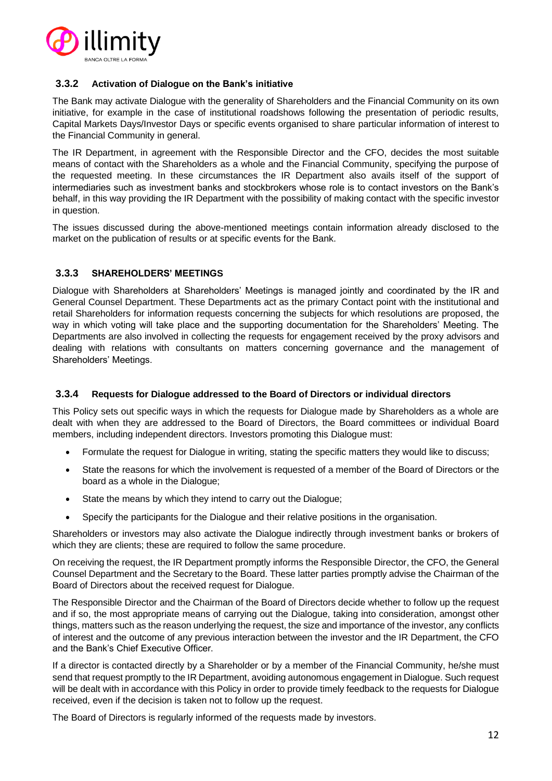

#### **3.3.2 Activation of Dialogue on the Bank's initiative**

The Bank may activate Dialogue with the generality of Shareholders and the Financial Community on its own initiative, for example in the case of institutional roadshows following the presentation of periodic results, Capital Markets Days/Investor Days or specific events organised to share particular information of interest to the Financial Community in general.

The IR Department, in agreement with the Responsible Director and the CFO, decides the most suitable means of contact with the Shareholders as a whole and the Financial Community, specifying the purpose of the requested meeting. In these circumstances the IR Department also avails itself of the support of intermediaries such as investment banks and stockbrokers whose role is to contact investors on the Bank's behalf, in this way providing the IR Department with the possibility of making contact with the specific investor in question.

The issues discussed during the above-mentioned meetings contain information already disclosed to the market on the publication of results or at specific events for the Bank.

#### **3.3.3 SHAREHOLDERS' MEETINGS**

Dialogue with Shareholders at Shareholders' Meetings is managed jointly and coordinated by the IR and General Counsel Department. These Departments act as the primary Contact point with the institutional and retail Shareholders for information requests concerning the subjects for which resolutions are proposed, the way in which voting will take place and the supporting documentation for the Shareholders' Meeting. The Departments are also involved in collecting the requests for engagement received by the proxy advisors and dealing with relations with consultants on matters concerning governance and the management of Shareholders' Meetings.

#### **3.3.4 Requests for Dialogue addressed to the Board of Directors or individual directors**

This Policy sets out specific ways in which the requests for Dialogue made by Shareholders as a whole are dealt with when they are addressed to the Board of Directors, the Board committees or individual Board members, including independent directors. Investors promoting this Dialogue must:

- Formulate the request for Dialogue in writing, stating the specific matters they would like to discuss;
- State the reasons for which the involvement is requested of a member of the Board of Directors or the board as a whole in the Dialogue;
- State the means by which they intend to carry out the Dialogue;
- Specify the participants for the Dialogue and their relative positions in the organisation.

Shareholders or investors may also activate the Dialogue indirectly through investment banks or brokers of which they are clients; these are required to follow the same procedure.

On receiving the request, the IR Department promptly informs the Responsible Director, the CFO, the General Counsel Department and the Secretary to the Board. These latter parties promptly advise the Chairman of the Board of Directors about the received request for Dialogue.

The Responsible Director and the Chairman of the Board of Directors decide whether to follow up the request and if so, the most appropriate means of carrying out the Dialogue, taking into consideration, amongst other things, matters such as the reason underlying the request, the size and importance of the investor, any conflicts of interest and the outcome of any previous interaction between the investor and the IR Department, the CFO and the Bank's Chief Executive Officer.

If a director is contacted directly by a Shareholder or by a member of the Financial Community, he/she must send that request promptly to the IR Department, avoiding autonomous engagement in Dialogue. Such request will be dealt with in accordance with this Policy in order to provide timely feedback to the requests for Dialogue received, even if the decision is taken not to follow up the request.

The Board of Directors is regularly informed of the requests made by investors.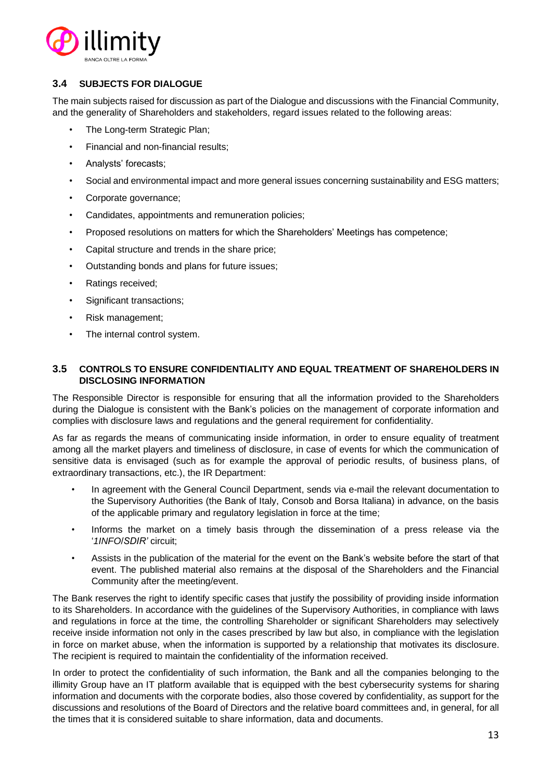

## **3.4 SUBJECTS FOR DIALOGUE**

The main subjects raised for discussion as part of the Dialogue and discussions with the Financial Community, and the generality of Shareholders and stakeholders, regard issues related to the following areas:

- The Long-term Strategic Plan;
- Financial and non-financial results;
- Analysts' forecasts;
- Social and environmental impact and more general issues concerning sustainability and ESG matters;
- Corporate governance;
- Candidates, appointments and remuneration policies;
- Proposed resolutions on matters for which the Shareholders' Meetings has competence;
- Capital structure and trends in the share price;
- Outstanding bonds and plans for future issues;
- Ratings received;
- Significant transactions;
- Risk management;
- The internal control system.

#### **3.5 CONTROLS TO ENSURE CONFIDENTIALITY AND EQUAL TREATMENT OF SHAREHOLDERS IN DISCLOSING INFORMATION**

The Responsible Director is responsible for ensuring that all the information provided to the Shareholders during the Dialogue is consistent with the Bank's policies on the management of corporate information and complies with disclosure laws and regulations and the general requirement for confidentiality.

As far as regards the means of communicating inside information, in order to ensure equality of treatment among all the market players and timeliness of disclosure, in case of events for which the communication of sensitive data is envisaged (such as for example the approval of periodic results, of business plans, of extraordinary transactions, etc.), the IR Department:

- In agreement with the General Council Department, sends via e-mail the relevant documentation to the Supervisory Authorities (the Bank of Italy, Consob and Borsa Italiana) in advance, on the basis of the applicable primary and regulatory legislation in force at the time;
- Informs the market on a timely basis through the dissemination of a press release via the '*1INFO*/*SDIR'* circuit;
- Assists in the publication of the material for the event on the Bank's website before the start of that event. The published material also remains at the disposal of the Shareholders and the Financial Community after the meeting/event.

The Bank reserves the right to identify specific cases that justify the possibility of providing inside information to its Shareholders. In accordance with the guidelines of the Supervisory Authorities, in compliance with laws and regulations in force at the time, the controlling Shareholder or significant Shareholders may selectively receive inside information not only in the cases prescribed by law but also, in compliance with the legislation in force on market abuse, when the information is supported by a relationship that motivates its disclosure. The recipient is required to maintain the confidentiality of the information received.

In order to protect the confidentiality of such information, the Bank and all the companies belonging to the illimity Group have an IT platform available that is equipped with the best cybersecurity systems for sharing information and documents with the corporate bodies, also those covered by confidentiality, as support for the discussions and resolutions of the Board of Directors and the relative board committees and, in general, for all the times that it is considered suitable to share information, data and documents.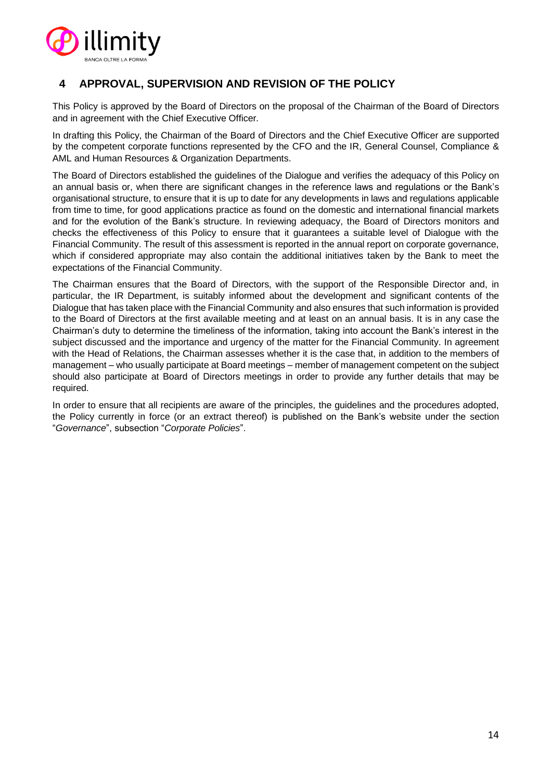

# **4 APPROVAL, SUPERVISION AND REVISION OF THE POLICY**

This Policy is approved by the Board of Directors on the proposal of the Chairman of the Board of Directors and in agreement with the Chief Executive Officer.

In drafting this Policy, the Chairman of the Board of Directors and the Chief Executive Officer are supported by the competent corporate functions represented by the CFO and the IR, General Counsel, Compliance & AML and Human Resources & Organization Departments.

The Board of Directors established the guidelines of the Dialogue and verifies the adequacy of this Policy on an annual basis or, when there are significant changes in the reference laws and regulations or the Bank's organisational structure, to ensure that it is up to date for any developments in laws and regulations applicable from time to time, for good applications practice as found on the domestic and international financial markets and for the evolution of the Bank's structure. In reviewing adequacy, the Board of Directors monitors and checks the effectiveness of this Policy to ensure that it guarantees a suitable level of Dialogue with the Financial Community. The result of this assessment is reported in the annual report on corporate governance, which if considered appropriate may also contain the additional initiatives taken by the Bank to meet the expectations of the Financial Community.

The Chairman ensures that the Board of Directors, with the support of the Responsible Director and, in particular, the IR Department, is suitably informed about the development and significant contents of the Dialogue that has taken place with the Financial Community and also ensures that such information is provided to the Board of Directors at the first available meeting and at least on an annual basis. It is in any case the Chairman's duty to determine the timeliness of the information, taking into account the Bank's interest in the subject discussed and the importance and urgency of the matter for the Financial Community. In agreement with the Head of Relations, the Chairman assesses whether it is the case that, in addition to the members of management – who usually participate at Board meetings – member of management competent on the subject should also participate at Board of Directors meetings in order to provide any further details that may be required.

In order to ensure that all recipients are aware of the principles, the guidelines and the procedures adopted, the Policy currently in force (or an extract thereof) is published on the Bank's website under the section "*Governance*", subsection "*Corporate Policies*".